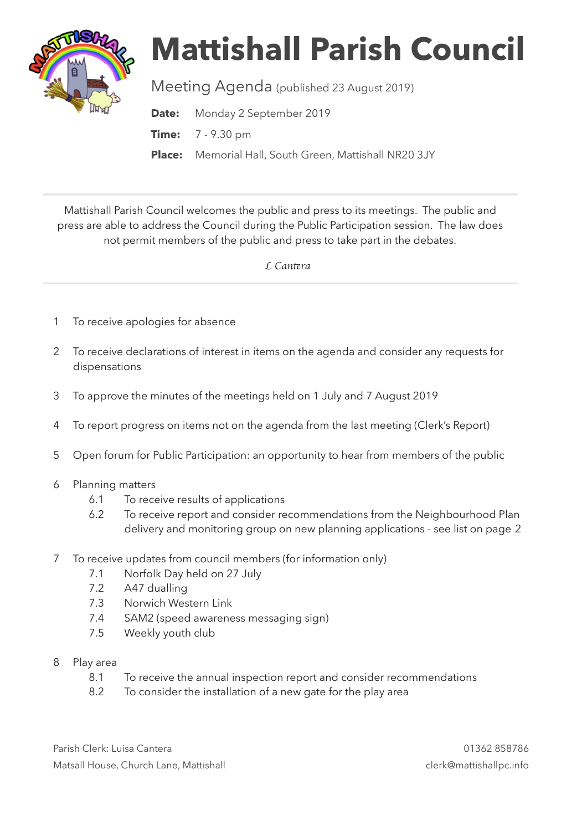

# **Mattishall Parish Council**

Meeting Agenda (published 23 August 2019)

**Date:** Monday 2 September 2019

**Time:** 7 - 9.30 pm

**Place:** Memorial Hall, South Green, Mattishall NR20 3JY

Mattishall Parish Council welcomes the public and press to its meetings. The public and press are able to address the Council during the Public Participation session. The law does not permit members of the public and press to take part in the debates.

 *L Can*t*ra* 

- 1 To receive apologies for absence
- 2 To receive declarations of interest in items on the agenda and consider any requests for dispensations
- 3 To approve the minutes of the meetings held on 1 July and 7 August 2019
- 4 To report progress on items not on the agenda from the last meeting (Clerk's Report)
- 5 Open forum for Public Participation: an opportunity to hear from members of the public
- 6 Planning matters
	- 6.1 To receive results of applications
	- 6.2 To receive report and consider recommendations from the Neighbourhood Plan delivery and monitoring group on new planning applications - see list on page 2
- 7 To receive updates from council members (for information only)
	- 7.1 Norfolk Day held on 27 July
	- 7.2 A47 dualling
	- 7.3 Norwich Western Link
	- 7.4 SAM2 (speed awareness messaging sign)
	- 7.5 Weekly youth club
- 8 Play area
	- 8.1 To receive the annual inspection report and consider recommendations
	- 8.2 To consider the installation of a new gate for the play area

Parish Clerk: Luisa Cantera 01362 858786 Matsall House, Church Lane, Mattishall clerk@mattishallpc.info